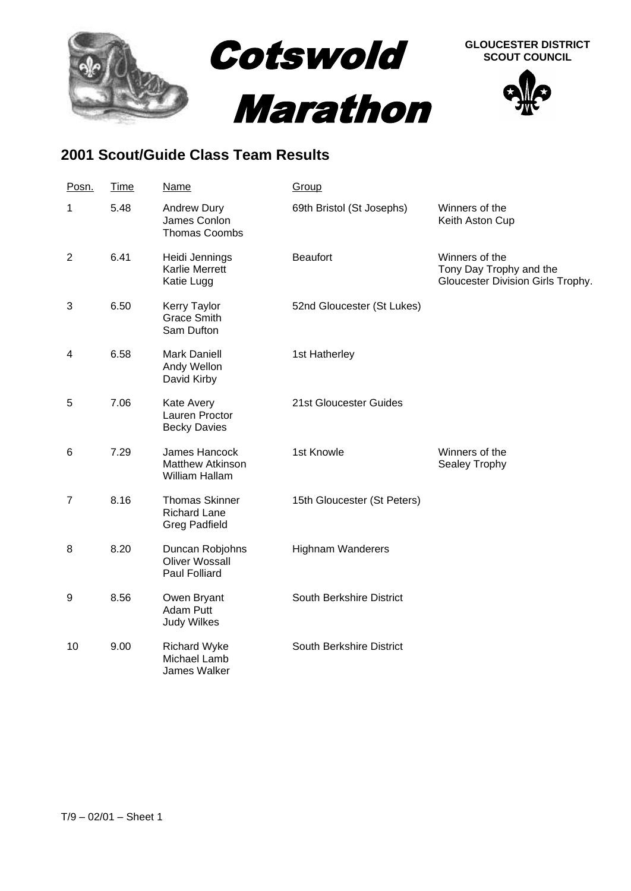

## **2001 Scout/Guide Class Team Results**

| Posn.          | <b>Time</b> | <b>Name</b>                                                          | Group                       |                                                                                |
|----------------|-------------|----------------------------------------------------------------------|-----------------------------|--------------------------------------------------------------------------------|
| 1              | 5.48        | Andrew Dury<br>James Conlon<br><b>Thomas Coombs</b>                  | 69th Bristol (St Josephs)   | Winners of the<br>Keith Aston Cup                                              |
| $\overline{2}$ | 6.41        | Heidi Jennings<br><b>Karlie Merrett</b><br>Katie Lugg                | <b>Beaufort</b>             | Winners of the<br>Tony Day Trophy and the<br>Gloucester Division Girls Trophy. |
| 3              | 6.50        | Kerry Taylor<br><b>Grace Smith</b><br>Sam Dufton                     | 52nd Gloucester (St Lukes)  |                                                                                |
| 4              | 6.58        | <b>Mark Daniell</b><br>Andy Wellon<br>David Kirby                    | 1st Hatherley               |                                                                                |
| 5              | 7.06        | Kate Avery<br>Lauren Proctor<br><b>Becky Davies</b>                  | 21st Gloucester Guides      |                                                                                |
| 6              | 7.29        | James Hancock<br><b>Matthew Atkinson</b><br>William Hallam           | 1st Knowle                  | Winners of the<br>Sealey Trophy                                                |
| $\overline{7}$ | 8.16        | <b>Thomas Skinner</b><br><b>Richard Lane</b><br><b>Greg Padfield</b> | 15th Gloucester (St Peters) |                                                                                |
| 8              | 8.20        | Duncan Robjohns<br><b>Oliver Wossall</b><br><b>Paul Folliard</b>     | <b>Highnam Wanderers</b>    |                                                                                |
| 9              | 8.56        | Owen Bryant<br><b>Adam Putt</b><br><b>Judy Wilkes</b>                | South Berkshire District    |                                                                                |
| 10             | 9.00        | <b>Richard Wyke</b><br>Michael Lamb<br>James Walker                  | South Berkshire District    |                                                                                |